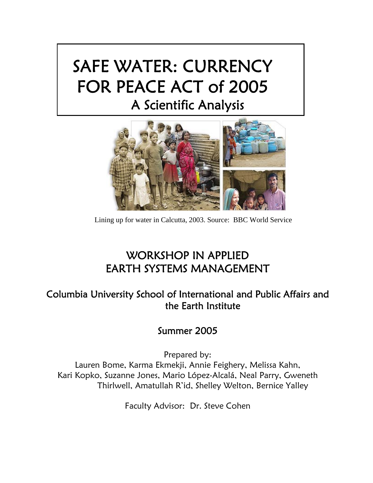# SAFE WATER: CURRENCY FOR PEACE ACT of 2005 A Scientific Analysis



Lining up for water in Calcutta, 2003. Source: BBC World Service

# WORKSHOP IN APPLIED EARTH SYSTEMS MANAGEMENT

# Columbia University School of International and Public Affairs and the Earth Institute

# Summer 2005

 Prepared by: Lauren Bome, Karma Ekmekji, Annie Feighery, Melissa Kahn, Kari Kopko, Suzanne Jones, Mario López-Alcalá, Neal Parry, Gweneth Thirlwell, Amatullah R'id, Shelley Welton, Bernice Yalley

Faculty Advisor: Dr. Steve Cohen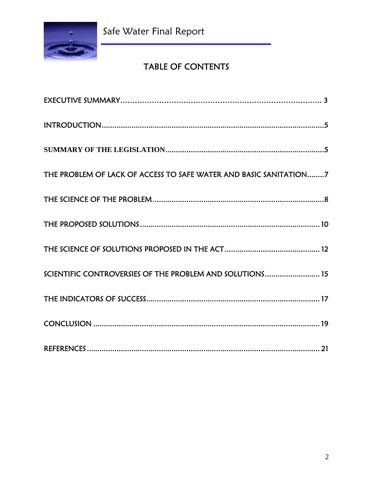

Safe Water Final Report

# TABLE OF CONTENTS

| THE PROBLEM OF LACK OF ACCESS TO SAFE WATER AND BASIC SANITATION7 |
|-------------------------------------------------------------------|
|                                                                   |
|                                                                   |
|                                                                   |
| SCIENTIFIC CONTROVERSIES OF THE PROBLEM AND SOLUTIONS 15          |
|                                                                   |
|                                                                   |
|                                                                   |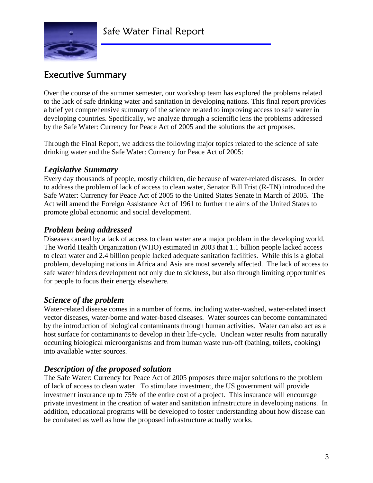

# Executive Summary

Over the course of the summer semester, our workshop team has explored the problems related to the lack of safe drinking water and sanitation in developing nations. This final report provides a brief yet comprehensive summary of the science related to improving access to safe water in developing countries. Specifically, we analyze through a scientific lens the problems addressed by the Safe Water: Currency for Peace Act of 2005 and the solutions the act proposes.

Through the Final Report, we address the following major topics related to the science of safe drinking water and the Safe Water: Currency for Peace Act of 2005:

#### *Legislative Summary*

Every day thousands of people, mostly children, die because of water-related diseases. In order to address the problem of lack of access to clean water, Senator Bill Frist (R-TN) introduced the Safe Water: Currency for Peace Act of 2005 to the United States Senate in March of 2005. The Act will amend the Foreign Assistance Act of 1961 to further the aims of the United States to promote global economic and social development.

#### *Problem being addressed*

Diseases caused by a lack of access to clean water are a major problem in the developing world. The World Health Organization (WHO) estimated in 2003 that 1.1 billion people lacked access to clean water and 2.4 billion people lacked adequate sanitation facilities. While this is a global problem, developing nations in Africa and Asia are most severely affected. The lack of access to safe water hinders development not only due to sickness, but also through limiting opportunities for people to focus their energy elsewhere.

#### *Science of the problem*

Water-related disease comes in a number of forms, including water-washed, water-related insect vector diseases, water-borne and water-based diseases. Water sources can become contaminated by the introduction of biological contaminants through human activities. Water can also act as a host surface for contaminants to develop in their life-cycle. Unclean water results from naturally occurring biological microorganisms and from human waste run-off (bathing, toilets, cooking) into available water sources.

### *Description of the proposed solution*

The Safe Water: Currency for Peace Act of 2005 proposes three major solutions to the problem of lack of access to clean water. To stimulate investment, the US government will provide investment insurance up to 75% of the entire cost of a project. This insurance will encourage private investment in the creation of water and sanitation infrastructure in developing nations. In addition, educational programs will be developed to foster understanding about how disease can be combated as well as how the proposed infrastructure actually works.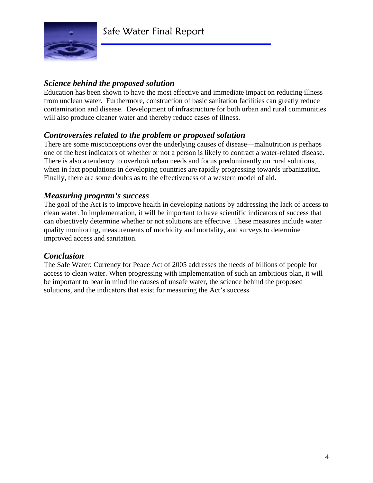

# *Science behind the proposed solution*

Education has been shown to have the most effective and immediate impact on reducing illness from unclean water. Furthermore, construction of basic sanitation facilities can greatly reduce contamination and disease. Development of infrastructure for both urban and rural communities will also produce cleaner water and thereby reduce cases of illness.

### *Controversies related to the problem or proposed solution*

There are some misconceptions over the underlying causes of disease—malnutrition is perhaps one of the best indicators of whether or not a person is likely to contract a water-related disease. There is also a tendency to overlook urban needs and focus predominantly on rural solutions, when in fact populations in developing countries are rapidly progressing towards urbanization. Finally, there are some doubts as to the effectiveness of a western model of aid.

### *Measuring program's success*

The goal of the Act is to improve health in developing nations by addressing the lack of access to clean water. In implementation, it will be important to have scientific indicators of success that can objectively determine whether or not solutions are effective. These measures include water quality monitoring, measurements of morbidity and mortality, and surveys to determine improved access and sanitation.

#### *Conclusion*

The Safe Water: Currency for Peace Act of 2005 addresses the needs of billions of people for access to clean water. When progressing with implementation of such an ambitious plan, it will be important to bear in mind the causes of unsafe water, the science behind the proposed solutions, and the indicators that exist for measuring the Act's success.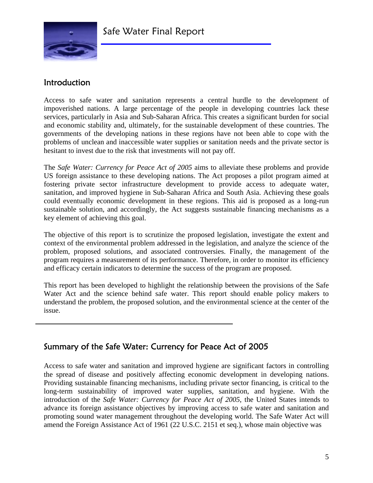

# Introduction

Access to safe water and sanitation represents a central hurdle to the development of impoverished nations. A large percentage of the people in developing countries lack these services, particularly in Asia and Sub-Saharan Africa. This creates a significant burden for social and economic stability and, ultimately, for the sustainable development of these countries. The governments of the developing nations in these regions have not been able to cope with the problems of unclean and inaccessible water supplies or sanitation needs and the private sector is hesitant to invest due to the risk that investments will not pay off.

The *Safe Water: Currency for Peace Act of 2005* aims to alleviate these problems and provide US foreign assistance to these developing nations. The Act proposes a pilot program aimed at fostering private sector infrastructure development to provide access to adequate water, sanitation, and improved hygiene in Sub-Saharan Africa and South Asia. Achieving these goals could eventually economic development in these regions. This aid is proposed as a long-run sustainable solution, and accordingly, the Act suggests sustainable financing mechanisms as a key element of achieving this goal.

The objective of this report is to scrutinize the proposed legislation, investigate the extent and context of the environmental problem addressed in the legislation, and analyze the science of the problem, proposed solutions, and associated controversies. Finally, the management of the program requires a measurement of its performance. Therefore, in order to monitor its efficiency and efficacy certain indicators to determine the success of the program are proposed.

This report has been developed to highlight the relationship between the provisions of the Safe Water Act and the science behind safe water. This report should enable policy makers to understand the problem, the proposed solution, and the environmental science at the center of the issue.

# Summary of the Safe Water: Currency for Peace Act of 2005

Access to safe water and sanitation and improved hygiene are significant factors in controlling the spread of disease and positively affecting economic development in developing nations. Providing sustainable financing mechanisms, including private sector financing, is critical to the long-term sustainability of improved water supplies, sanitation, and hygiene. With the introduction of the *Safe Water: Currency for Peace Act of 2005*, the United States intends to advance its foreign assistance objectives by improving access to safe water and sanitation and promoting sound water management throughout the developing world. The Safe Water Act will amend the Foreign Assistance Act of 1961 (22 U.S.C. 2151 et seq.), whose main objective was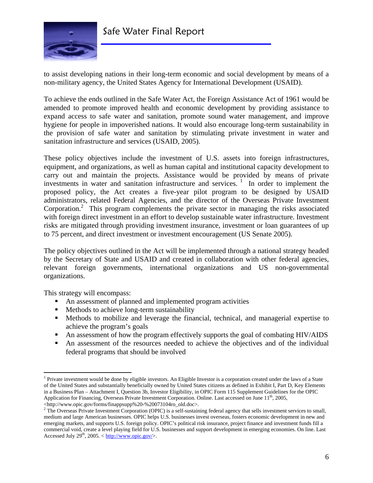

to assist developing nations in their long-term economic and social development by means of a non-military agency, the United States Agency for International Development (USAID).

To achieve the ends outlined in the Safe Water Act, the Foreign Assistance Act of 1961 would be amended to promote improved health and economic development by providing assistance to expand access to safe water and sanitation, promote sound water management, and improve hygiene for people in impoverished nations. It would also encourage long-term sustainability in the provision of safe water and sanitation by stimulating private investment in water and sanitation infrastructure and services (USAID, 2005).

These policy objectives include the investment of U.S. assets into foreign infrastructures, equipment, and organizations, as well as human capital and institutional capacity development to carry out and maintain the projects. Assistance would be provided by means of private investments in water and sanitation infrastructure and services.  $\frac{1}{1}$  In order to implement the proposed policy, the Act creates a five-year pilot program to be designed by USAID administrators, related Federal Agencies, and the director of the Overseas Private Investment Corporation.<sup>2</sup> This program complements the private sector in managing the risks associated with foreign direct investment in an effort to develop sustainable water infrastructure. Investment risks are mitigated through providing investment insurance, investment or loan guarantees of up to 75 percent, and direct investment or investment encouragement (US Senate 2005).

The policy objectives outlined in the Act will be implemented through a national strategy headed by the Secretary of State and USAID and created in collaboration with other federal agencies, relevant foreign governments, international organizations and US non-governmental organizations.

This strategy will encompass:

 $\overline{a}$ 

- An assessment of planned and implemented program activities
- Methods to achieve long-term sustainability
- Methods to mobilize and leverage the financial, technical, and managerial expertise to achieve the program's goals
- An assessment of how the program effectively supports the goal of combating HIV/AIDS
- An assessment of the resources needed to achieve the objectives and of the individual federal programs that should be involved

<sup>&</sup>lt;sup>1</sup> Private investment would be done by eligible investors. An Eligible Investor is a corporation created under the laws of a State of the United States and substantially beneficially owned by United States citizens as defined in Exhibit I, Part D, Key Elements in a Business Plan – Attachment I, Question 3b, Investor Eligibility, in OPIC Form 115 Supplement Guidelines for the OPIC Application for Financing, Overseas Private Investment Corporation. Online. Last accessed on June  $11^{th}$ , 2005,

<sup>&</sup>lt;http://www.opic.gov/forms/finappsupp%20-%20073104ro\_old.doc>. 2

<sup>&</sup>lt;sup>2</sup> The Overseas Private Investment Corporation (OPIC) is a self-sustaining federal agency that sells investment services to small, medium and large American businesses. OPIC helps U.S. businesses invest overseas, fosters economic development in new and emerging markets, and supports U.S. foreign policy. OPIC's political risk insurance, project finance and investment funds fill a commercial void, create a level playing field for U.S. businesses and support development in emerging economies. On line. Last Accessed July  $29^{th}$ ,  $2005. < \frac{http://www.opic.gov/}{$ .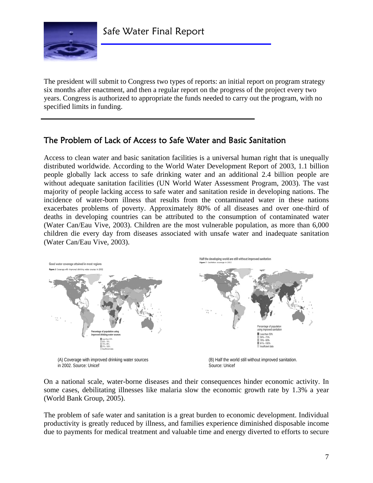

The president will submit to Congress two types of reports: an initial report on program strategy six months after enactment, and then a regular report on the progress of the project every two years. Congress is authorized to appropriate the funds needed to carry out the program, with no specified limits in funding.

# The Problem of Lack of Access to Safe Water and Basic Sanitation

Access to clean water and basic sanitation facilities is a universal human right that is unequally distributed worldwide. According to the World Water Development Report of 2003, 1.1 billion people globally lack access to safe drinking water and an additional 2.4 billion people are without adequate sanitation facilities (UN World Water Assessment Program, 2003). The vast majority of people lacking access to safe water and sanitation reside in developing nations. The incidence of water-born illness that results from the contaminated water in these nations exacerbates problems of poverty. Approximately 80% of all diseases and over one-third of deaths in developing countries can be attributed to the consumption of contaminated water (Water Can/Eau Vive, 2003). Children are the most vulnerable population, as more than 6,000 children die every day from diseases associated with unsafe water and inadequate sanitation (Water Can/Eau Vive, 2003).



in 2002. Source: Unicef

Source: Unicef

On a national scale, water-borne diseases and their consequences hinder economic activity. In some cases, debilitating illnesses like malaria slow the economic growth rate by 1.3% a year (World Bank Group, 2005).

The problem of safe water and sanitation is a great burden to economic development. Individual productivity is greatly reduced by illness, and families experience diminished disposable income due to payments for medical treatment and valuable time and energy diverted to efforts to secure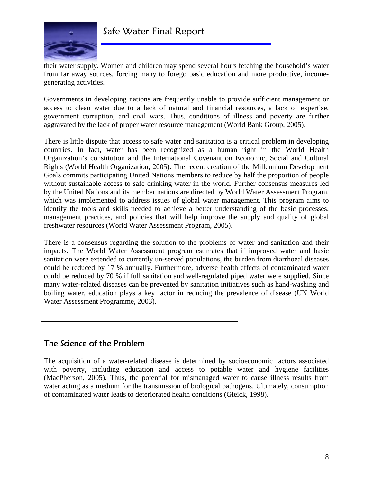

their water supply. Women and children may spend several hours fetching the household's water from far away sources, forcing many to forego basic education and more productive, incomegenerating activities.

Governments in developing nations are frequently unable to provide sufficient management or access to clean water due to a lack of natural and financial resources, a lack of expertise, government corruption, and civil wars. Thus, conditions of illness and poverty are further aggravated by the lack of proper water resource management (World Bank Group, 2005).

There is little dispute that access to safe water and sanitation is a critical problem in developing countries. In fact, water has been recognized as a human right in the World Health Organization's constitution and the International Covenant on Economic, Social and Cultural Rights (World Health Organization, 2005). The recent creation of the Millennium Development Goals commits participating United Nations members to reduce by half the proportion of people without sustainable access to safe drinking water in the world. Further consensus measures led by the United Nations and its member nations are directed by World Water Assessment Program, which was implemented to address issues of global water management. This program aims to identify the tools and skills needed to achieve a better understanding of the basic processes, management practices, and policies that will help improve the supply and quality of global freshwater resources (World Water Assessment Program, 2005).

There is a consensus regarding the solution to the problems of water and sanitation and their impacts. The World Water Assessment program estimates that if improved water and basic sanitation were extended to currently un-served populations, the burden from diarrhoeal diseases could be reduced by 17 % annually. Furthermore, adverse health effects of contaminated water could be reduced by 70 % if full sanitation and well-regulated piped water were supplied. Since many water-related diseases can be prevented by sanitation initiatives such as hand-washing and boiling water, education plays a key factor in reducing the prevalence of disease (UN World Water Assessment Programme, 2003).

# The Science of the Problem

The acquisition of a water-related disease is determined by socioeconomic factors associated with poverty, including education and access to potable water and hygiene facilities (MacPherson, 2005). Thus, the potential for mismanaged water to cause illness results from water acting as a medium for the transmission of biological pathogens. Ultimately, consumption of contaminated water leads to deteriorated health conditions (Gleick, 1998).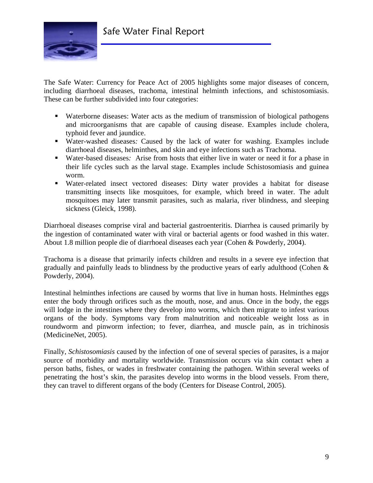

The Safe Water: Currency for Peace Act of 2005 highlights some major diseases of concern, including diarrhoeal diseases, trachoma, intestinal helminth infections, and schistosomiasis. These can be further subdivided into four categories:

- Waterborne diseases: Water acts as the medium of transmission of biological pathogens and microorganisms that are capable of causing disease. Examples include cholera, typhoid fever and jaundice.
- Water-washed diseases*:* Caused by the lack of water for washing. Examples include diarrhoeal diseases, helminthes, and skin and eye infections such as Trachoma.
- Water-based diseases*:* Arise from hosts that either live in water or need it for a phase in their life cycles such as the larval stage. Examples include Schistosomiasis and guinea worm.
- Water-related insect vectored diseases: Dirty water provides a habitat for disease transmitting insects like mosquitoes, for example, which breed in water. The adult mosquitoes may later transmit parasites, such as malaria, river blindness, and sleeping sickness (Gleick, 1998).

Diarrhoeal diseases comprise viral and bacterial gastroenteritis. Diarrhea is caused primarily by the ingestion of contaminated water with viral or bacterial agents or food washed in this water. About 1.8 million people die of diarrhoeal diseases each year (Cohen & Powderly, 2004).

Trachoma is a disease that primarily infects children and results in a severe eye infection that gradually and painfully leads to blindness by the productive years of early adulthood (Cohen & Powderly, 2004).

Intestinal helminthes infections are caused by worms that live in human hosts. Helminthes eggs enter the body through orifices such as the mouth, nose, and anus. Once in the body, the eggs will lodge in the intestines where they develop into worms, which then migrate to infest various organs of the body. Symptoms vary from malnutrition and noticeable weight loss as in roundworm and pinworm infection; to fever, diarrhea, and muscle pain, as in trichinosis (MedicineNet, 2005).

Finally, *Schistosomiasis* caused by the infection of one of several species of parasites, is a major source of morbidity and mortality worldwide. Transmission occurs via skin contact when a person baths, fishes, or wades in freshwater containing the pathogen. Within several weeks of penetrating the host's skin, the parasites develop into worms in the blood vessels. From there, they can travel to different organs of the body (Centers for Disease Control, 2005).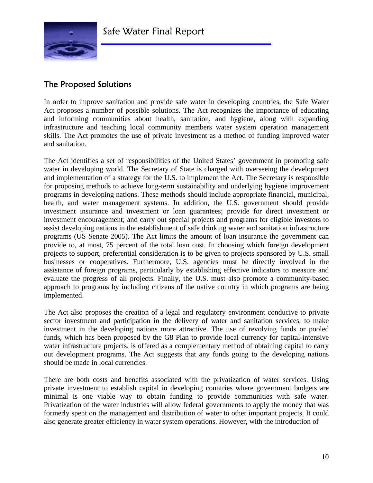

# The Proposed Solutions

In order to improve sanitation and provide safe water in developing countries, the Safe Water Act proposes a number of possible solutions. The Act recognizes the importance of educating and informing communities about health, sanitation, and hygiene, along with expanding infrastructure and teaching local community members water system operation management skills. The Act promotes the use of private investment as a method of funding improved water and sanitation.

The Act identifies a set of responsibilities of the United States' government in promoting safe water in developing world. The Secretary of State is charged with overseeing the development and implementation of a strategy for the U.S. to implement the Act. The Secretary is responsible for proposing methods to achieve long-term sustainability and underlying hygiene improvement programs in developing nations. These methods should include appropriate financial, municipal, health, and water management systems. In addition, the U.S. government should provide investment insurance and investment or loan guarantees; provide for direct investment or investment encouragement; and carry out special projects and programs for eligible investors to assist developing nations in the establishment of safe drinking water and sanitation infrastructure programs (US Senate 2005). The Act limits the amount of loan insurance the government can provide to, at most, 75 percent of the total loan cost. In choosing which foreign development projects to support, preferential consideration is to be given to projects sponsored by U.S. small businesses or cooperatives. Furthermore, U.S. agencies must be directly involved in the assistance of foreign programs, particularly by establishing effective indicators to measure and evaluate the progress of all projects. Finally, the U.S. must also promote a community-based approach to programs by including citizens of the native country in which programs are being implemented.

The Act also proposes the creation of a legal and regulatory environment conducive to private sector investment and participation in the delivery of water and sanitation services, to make investment in the developing nations more attractive. The use of revolving funds or pooled funds, which has been proposed by the G8 Plan to provide local currency for capital-intensive water infrastructure projects, is offered as a complementary method of obtaining capital to carry out development programs. The Act suggests that any funds going to the developing nations should be made in local currencies.

There are both costs and benefits associated with the privatization of water services. Using private investment to establish capital in developing countries where government budgets are minimal is one viable way to obtain funding to provide communities with safe water. Privatization of the water industries will allow federal governments to apply the money that was formerly spent on the management and distribution of water to other important projects. It could also generate greater efficiency in water system operations. However, with the introduction of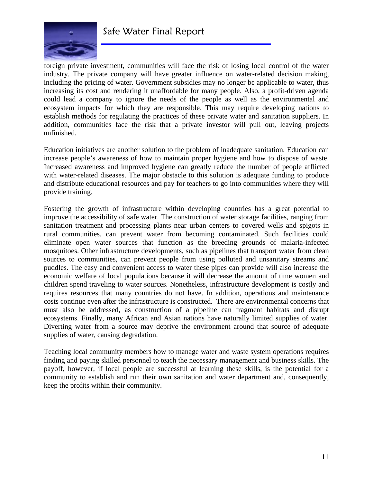

foreign private investment, communities will face the risk of losing local control of the water industry. The private company will have greater influence on water-related decision making, including the pricing of water. Government subsidies may no longer be applicable to water, thus increasing its cost and rendering it unaffordable for many people. Also, a profit-driven agenda could lead a company to ignore the needs of the people as well as the environmental and ecosystem impacts for which they are responsible. This may require developing nations to establish methods for regulating the practices of these private water and sanitation suppliers. In addition, communities face the risk that a private investor will pull out, leaving projects unfinished.

Education initiatives are another solution to the problem of inadequate sanitation. Education can increase people's awareness of how to maintain proper hygiene and how to dispose of waste. Increased awareness and improved hygiene can greatly reduce the number of people afflicted with water-related diseases. The major obstacle to this solution is adequate funding to produce and distribute educational resources and pay for teachers to go into communities where they will provide training.

Fostering the growth of infrastructure within developing countries has a great potential to improve the accessibility of safe water. The construction of water storage facilities, ranging from sanitation treatment and processing plants near urban centers to covered wells and spigots in rural communities, can prevent water from becoming contaminated. Such facilities could eliminate open water sources that function as the breeding grounds of malaria-infected mosquitoes. Other infrastructure developments, such as pipelines that transport water from clean sources to communities, can prevent people from using polluted and unsanitary streams and puddles. The easy and convenient access to water these pipes can provide will also increase the economic welfare of local populations because it will decrease the amount of time women and children spend traveling to water sources. Nonetheless, infrastructure development is costly and requires resources that many countries do not have. In addition, operations and maintenance costs continue even after the infrastructure is constructed. There are environmental concerns that must also be addressed, as construction of a pipeline can fragment habitats and disrupt ecosystems. Finally, many African and Asian nations have naturally limited supplies of water. Diverting water from a source may deprive the environment around that source of adequate supplies of water, causing degradation.

Teaching local community members how to manage water and waste system operations requires finding and paying skilled personnel to teach the necessary management and business skills. The payoff, however, if local people are successful at learning these skills, is the potential for a community to establish and run their own sanitation and water department and, consequently, keep the profits within their community.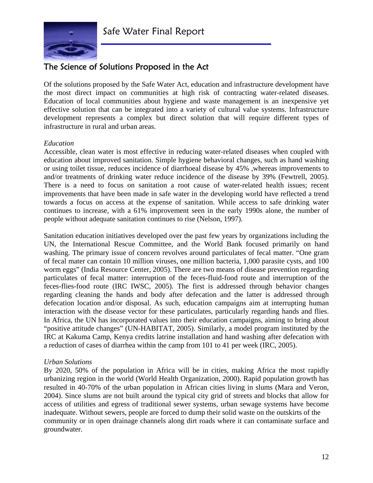

# The Science of Solutions Proposed in the Act

Of the solutions proposed by the Safe Water Act, education and infrastructure development have the most direct impact on communities at high risk of contracting water-related diseases. Education of local communities about hygiene and waste management is an inexpensive yet effective solution that can be integrated into a variety of cultural value systems. Infrastructure development represents a complex but direct solution that will require different types of infrastructure in rural and urban areas.

#### *Education*

Accessible, clean water is most effective in reducing water-related diseases when coupled with education about improved sanitation. Simple hygiene behavioral changes, such as hand washing or using toilet tissue, reduces incidence of diarrhoeal disease by 45% ,whereas improvements to and/or treatments of drinking water reduce incidence of the disease by 39% (Fewtrell, 2005). There is a need to focus on sanitation a root cause of water-related health issues; recent improvements that have been made in safe water in the developing world have reflected a trend towards a focus on access at the expense of sanitation. While access to safe drinking water continues to increase, with a 61% improvement seen in the early 1990s alone, the number of people without adequate sanitation continues to rise (Nelson, 1997).

Sanitation education initiatives developed over the past few years by organizations including the UN, the International Rescue Committee, and the World Bank focused primarily on hand washing. The primary issue of concern revolves around particulates of fecal matter. "One gram of fecal mater can contain 10 million viruses, one million bacteria, 1,000 parasite cysts, and 100 worm eggs" (India Resource Center, 2005). There are two means of disease prevention regarding particulates of fecal matter: interruption of the feces-fluid-food route and interruption of the feces-flies-food route (IRC IWSC, 2005). The first is addressed through behavior changes regarding cleaning the hands and body after defecation and the latter is addressed through defecation location and/or disposal. As such, education campaigns aim at interrupting human interaction with the disease vector for these particulates, particularly regarding hands and flies. In Africa, the UN has incorporated values into their education campaigns, aiming to bring about "positive attitude changes" (UN-HABITAT, 2005). Similarly, a model program instituted by the IRC at Kakuma Camp, Kenya credits latrine installation and hand washing after defecation with a reduction of cases of diarrhea within the camp from 101 to 41 per week (IRC, 2005).

#### *Urban Solutions*

By 2020, 50% of the population in Africa will be in cities, making Africa the most rapidly urbanizing region in the world (World Health Organization, 2000). Rapid population growth has resulted in 40-70% of the urban population in African cities living in slums (Mara and Veron, 2004). Since slums are not built around the typical city grid of streets and blocks that allow for access of utilities and egress of traditional sewer systems, urban sewage systems have become inadequate. Without sewers, people are forced to dump their solid waste on the outskirts of the community or in open drainage channels along dirt roads where it can contaminate surface and groundwater.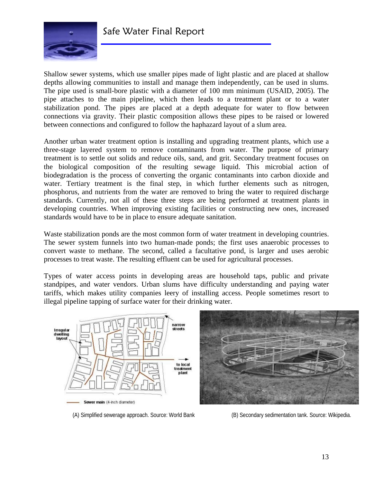

Shallow sewer systems, which use smaller pipes made of light plastic and are placed at shallow depths allowing communities to install and manage them independently, can be used in slums. The pipe used is small-bore plastic with a diameter of 100 mm minimum (USAID, 2005). The pipe attaches to the main pipeline, which then leads to a treatment plant or to a water stabilization pond. The pipes are placed at a depth adequate for water to flow between connections via gravity. Their plastic composition allows these pipes to be raised or lowered between connections and configured to follow the haphazard layout of a slum area.

Another urban water treatment option is installing and upgrading treatment plants, which use a three-stage layered system to remove contaminants from water. The purpose of primary treatment is to settle out solids and reduce oils, sand, and grit. Secondary treatment focuses on the biological composition of the resulting sewage liquid. This microbial action of biodegradation is the process of converting the organic contaminants into carbon dioxide and water. Tertiary treatment is the final step, in which further elements such as nitrogen, phosphorus, and nutrients from the water are removed to bring the water to required discharge standards. Currently, not all of these three steps are being performed at treatment plants in developing countries. When improving existing facilities or constructing new ones, increased standards would have to be in place to ensure adequate sanitation.

Waste stabilization ponds are the most common form of water treatment in developing countries. The sewer system funnels into two human-made ponds; the first uses anaerobic processes to convert waste to methane. The second, called a facultative pond, is larger and uses aerobic processes to treat waste. The resulting effluent can be used for agricultural processes.

Types of water access points in developing areas are household taps, public and private standpipes, and water vendors. Urban slums have difficulty understanding and paying water tariffs, which makes utility companies leery of installing access. People sometimes resort to illegal pipeline tapping of surface water for their drinking water.





(A) Simplified sewerage approach. Source: World Bank (B) Secondary sedimentation tank. Source: Wikipedia.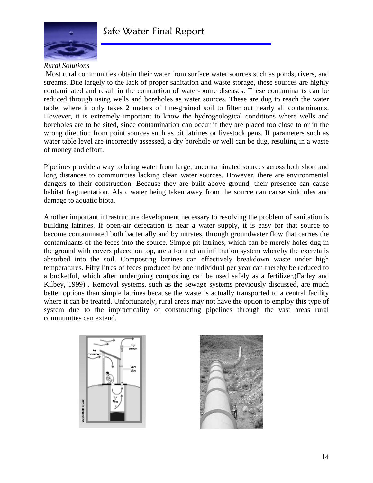

#### *Rural Solutions*

Most rural communities obtain their water from surface water sources such as ponds, rivers, and streams. Due largely to the lack of proper sanitation and waste storage, these sources are highly contaminated and result in the contraction of water-borne diseases. These contaminants can be reduced through using wells and boreholes as water sources. These are dug to reach the water table, where it only takes 2 meters of fine-grained soil to filter out nearly all contaminants. However, it is extremely important to know the hydrogeological conditions where wells and boreholes are to be sited, since contamination can occur if they are placed too close to or in the wrong direction from point sources such as pit latrines or livestock pens. If parameters such as water table level are incorrectly assessed, a dry borehole or well can be dug, resulting in a waste of money and effort.

Pipelines provide a way to bring water from large, uncontaminated sources across both short and long distances to communities lacking clean water sources. However, there are environmental dangers to their construction. Because they are built above ground, their presence can cause habitat fragmentation. Also, water being taken away from the source can cause sinkholes and damage to aquatic biota.

Another important infrastructure development necessary to resolving the problem of sanitation is building latrines. If open-air defecation is near a water supply, it is easy for that source to become contaminated both bacterially and by nitrates, through groundwater flow that carries the contaminants of the feces into the source. Simple pit latrines, which can be merely holes dug in the ground with covers placed on top, are a form of an infiltration system whereby the excreta is absorbed into the soil. Composting latrines can effectively breakdown waste under high temperatures. Fifty litres of feces produced by one individual per year can thereby be reduced to a bucketful, which after undergoing composting can be used safely as a fertilizer.(Farley and Kilbey, 1999) . Removal systems, such as the sewage systems previously discussed, are much better options than simple latrines because the waste is actually transported to a central facility where it can be treated. Unfortunately, rural areas may not have the option to employ this type of system due to the impracticality of constructing pipelines through the vast areas rural communities can extend.



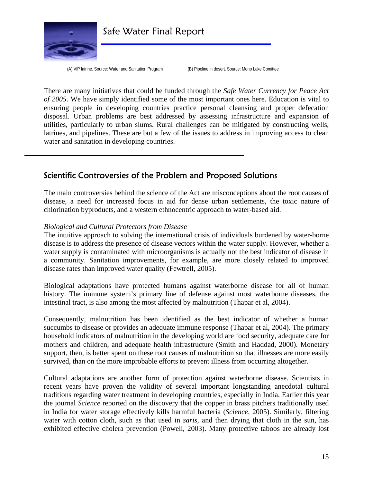

Safe Water Final Report

(A) VIP latrine. Source: Water and Sanitation Program (B) Pipeline in desert. Source: Mono Lake Comittee

There are many initiatives that could be funded through the *Safe Water Currency for Peace Act of 2005*. We have simply identified some of the most important ones here. Education is vital to ensuring people in developing countries practice personal cleansing and proper defecation disposal. Urban problems are best addressed by assessing infrastructure and expansion of utilities, particularly to urban slums. Rural challenges can be mitigated by constructing wells, latrines, and pipelines. These are but a few of the issues to address in improving access to clean water and sanitation in developing countries.

### Scientific Controversies of the Problem and Proposed Solutions

The main controversies behind the science of the Act are misconceptions about the root causes of disease, a need for increased focus in aid for dense urban settlements, the toxic nature of chlorination byproducts, and a western ethnocentric approach to water-based aid.

#### *Biological and Cultural Protectors from Disease*

The intuitive approach to solving the international crisis of individuals burdened by water-borne disease is to address the presence of disease vectors within the water supply. However, whether a water supply is contaminated with microorganisms is actually not the best indicator of disease in a community. Sanitation improvements, for example, are more closely related to improved disease rates than improved water quality (Fewtrell, 2005).

Biological adaptations have protected humans against waterborne disease for all of human history. The immune system's primary line of defense against most waterborne diseases, the intestinal tract, is also among the most affected by malnutrition (Thapar et al, 2004).

Consequently, malnutrition has been identified as the best indicator of whether a human succumbs to disease or provides an adequate immune response (Thapar et al, 2004). The primary household indicators of malnutrition in the developing world are food security, adequate care for mothers and children, and adequate health infrastructure (Smith and Haddad, 2000). Monetary support, then, is better spent on these root causes of malnutrition so that illnesses are more easily survived, than on the more improbable efforts to prevent illness from occurring altogether.

Cultural adaptations are another form of protection against waterborne disease. Scientists in recent years have proven the validity of several important longstanding anecdotal cultural traditions regarding water treatment in developing countries, especially in India. Earlier this year the journal *Science* reported on the discovery that the copper in brass pitchers traditionally used in India for water storage effectively kills harmful bacteria (*Science*, 2005). Similarly, filtering water with cotton cloth, such as that used in *saris,* and then drying that cloth in the sun, has exhibited effective cholera prevention (Powell, 2003). Many protective taboos are already lost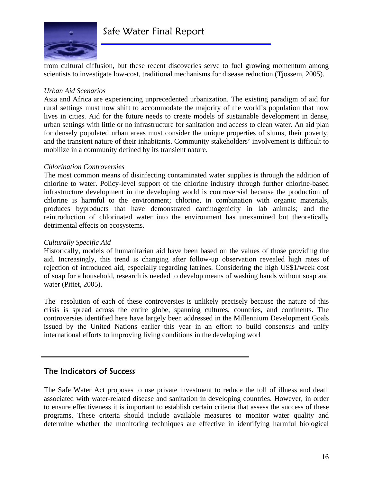

from cultural diffusion, but these recent discoveries serve to fuel growing momentum among scientists to investigate low-cost, traditional mechanisms for disease reduction (Tjossem, 2005).

#### *Urban Aid Scenarios*

Asia and Africa are experiencing unprecedented urbanization. The existing paradigm of aid for rural settings must now shift to accommodate the majority of the world's population that now lives in cities. Aid for the future needs to create models of sustainable development in dense, urban settings with little or no infrastructure for sanitation and access to clean water. An aid plan for densely populated urban areas must consider the unique properties of slums, their poverty, and the transient nature of their inhabitants. Community stakeholders' involvement is difficult to mobilize in a community defined by its transient nature.

#### *Chlorination Controversies*

The most common means of disinfecting contaminated water supplies is through the addition of chlorine to water. Policy-level support of the chlorine industry through further chlorine-based infrastructure development in the developing world is controversial because the production of chlorine is harmful to the environment; chlorine, in combination with organic materials, produces byproducts that have demonstrated carcinogenicity in lab animals; and the reintroduction of chlorinated water into the environment has unexamined but theoretically detrimental effects on ecosystems.

#### *Culturally Specific Aid*

Historically, models of humanitarian aid have been based on the values of those providing the aid. Increasingly, this trend is changing after follow-up observation revealed high rates of rejection of introduced aid, especially regarding latrines. Considering the high US\$1/week cost of soap for a household, research is needed to develop means of washing hands without soap and water (Pittet, 2005).

The resolution of each of these controversies is unlikely precisely because the nature of this crisis is spread across the entire globe, spanning cultures, countries, and continents. The controversies identified here have largely been addressed in the Millennium Development Goals issued by the United Nations earlier this year in an effort to build consensus and unify international efforts to improving living conditions in the developing worl

### The Indicators of Success

The Safe Water Act proposes to use private investment to reduce the toll of illness and death associated with water-related disease and sanitation in developing countries. However, in order to ensure effectiveness it is important to establish certain criteria that assess the success of these programs. These criteria should include available measures to monitor water quality and determine whether the monitoring techniques are effective in identifying harmful biological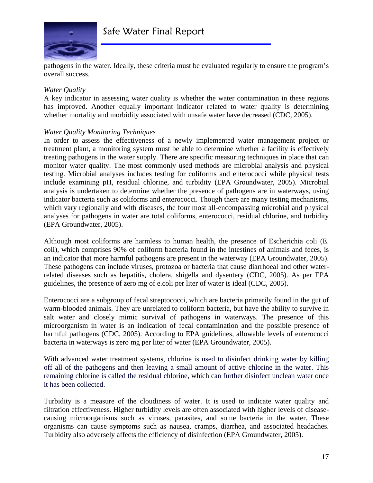

pathogens in the water. Ideally, these criteria must be evaluated regularly to ensure the program's overall success.

#### *Water Quality*

A key indicator in assessing water quality is whether the water contamination in these regions has improved. Another equally important indicator related to water quality is determining whether mortality and morbidity associated with unsafe water have decreased (CDC, 2005).

#### *Water Quality Monitoring Techniques*

In order to assess the effectiveness of a newly implemented water management project or treatment plant, a monitoring system must be able to determine whether a facility is effectively treating pathogens in the water supply. There are specific measuring techniques in place that can monitor water quality. The most commonly used methods are microbial analysis and physical testing. Microbial analyses includes testing for coliforms and enterococci while physical tests include examining pH, residual chlorine, and turbidity (EPA Groundwater, 2005). Microbial analysis is undertaken to determine whether the presence of pathogens are in waterways, using indicator bacteria such as coliforms and enterococci. Though there are many testing mechanisms, which vary regionally and with diseases, the four most all-encompassing microbial and physical analyses for pathogens in water are total coliforms, enterococci, residual chlorine, and turbidity (EPA Groundwater, 2005).

Although most coliforms are harmless to human health, the presence of Escherichia coli (E. coli), which comprises 90% of coliform bacteria found in the intestines of animals and feces, is an indicator that more harmful pathogens are present in the waterway (EPA Groundwater, 2005). These pathogens can include viruses, protozoa or bacteria that cause diarrhoeal and other waterrelated diseases such as hepatitis, cholera, shigella and dysentery (CDC, 2005). As per EPA guidelines, the presence of zero mg of e.coli per liter of water is ideal (CDC, 2005).

Enterococci are a subgroup of fecal streptococci, which are bacteria primarily found in the gut of warm-blooded animals. They are unrelated to coliform bacteria, but have the ability to survive in salt water and closely mimic survival of pathogens in waterways. The presence of this microorganism in water is an indication of fecal contamination and the possible presence of harmful pathogens (CDC, 2005). According to EPA guidelines, allowable levels of enterococci bacteria in waterways is zero mg per liter of water (EPA Groundwater, 2005).

With advanced water treatment systems, chlorine is used to disinfect drinking water by killing off all of the pathogens and then leaving a small amount of active chlorine in the water. This remaining chlorine is called the residual chlorine, which can further disinfect unclean water once it has been collected.

Turbidity is a measure of the cloudiness of water. It is used to indicate water quality and filtration effectiveness. Higher turbidity levels are often associated with higher levels of diseasecausing microorganisms such as viruses, parasites, and some bacteria in the water. These organisms can cause symptoms such as nausea, cramps, diarrhea, and associated headaches. Turbidity also adversely affects the efficiency of disinfection (EPA Groundwater, 2005).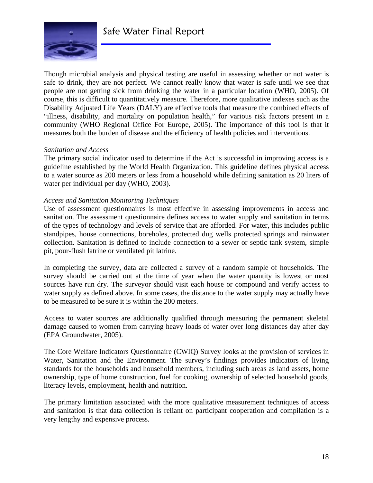

Though microbial analysis and physical testing are useful in assessing whether or not water is safe to drink, they are not perfect. We cannot really know that water is safe until we see that people are not getting sick from drinking the water in a particular location (WHO, 2005). Of course, this is difficult to quantitatively measure. Therefore, more qualitative indexes such as the Disability Adjusted Life Years (DALY) are effective tools that measure the combined effects of "illness, disability, and mortality on population health," for various risk factors present in a community (WHO Regional Office For Europe, 2005). The importance of this tool is that it measures both the burden of disease and the efficiency of health policies and interventions.

#### *Sanitation and Access*

The primary social indicator used to determine if the Act is successful in improving access is a guideline established by the World Health Organization. This guideline defines physical access to a water source as 200 meters or less from a household while defining sanitation as 20 liters of water per individual per day (WHO, 2003).

#### *Access and Sanitation Monitoring Techniques*

Use of assessment questionnaires is most effective in assessing improvements in access and sanitation. The assessment questionnaire defines access to water supply and sanitation in terms of the types of technology and levels of service that are afforded. For water, this includes public standpipes, house connections, boreholes, protected dug wells protected springs and rainwater collection. Sanitation is defined to include connection to a sewer or septic tank system, simple pit, pour-flush latrine or ventilated pit latrine.

In completing the survey, data are collected a survey of a random sample of households. The survey should be carried out at the time of year when the water quantity is lowest or most sources have run dry. The surveyor should visit each house or compound and verify access to water supply as defined above. In some cases, the distance to the water supply may actually have to be measured to be sure it is within the 200 meters.

Access to water sources are additionally qualified through measuring the permanent skeletal damage caused to women from carrying heavy loads of water over long distances day after day (EPA Groundwater, 2005).

The Core Welfare Indicators Questionnaire (CWIQ) Survey looks at the provision of services in Water, Sanitation and the Environment. The survey's findings provides indicators of living standards for the households and household members, including such areas as land assets, home ownership, type of home construction, fuel for cooking, ownership of selected household goods, literacy levels, employment, health and nutrition.

The primary limitation associated with the more qualitative measurement techniques of access and sanitation is that data collection is reliant on participant cooperation and compilation is a very lengthy and expensive process.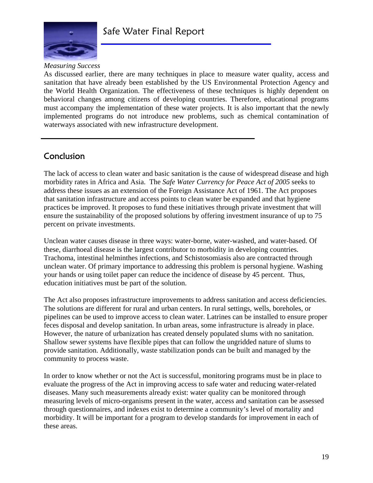

#### *Measuring Success*

As discussed earlier, there are many techniques in place to measure water quality, access and sanitation that have already been established by the US Environmental Protection Agency and the World Health Organization. The effectiveness of these techniques is highly dependent on behavioral changes among citizens of developing countries. Therefore, educational programs must accompany the implementation of these water projects. It is also important that the newly implemented programs do not introduce new problems, such as chemical contamination of waterways associated with new infrastructure development.

# Conclusion

The lack of access to clean water and basic sanitation is the cause of widespread disease and high morbidity rates in Africa and Asia. The *Safe Water Currency for Peace Act of 2005* seeks to address these issues as an extension of the Foreign Assistance Act of 1961. The Act proposes that sanitation infrastructure and access points to clean water be expanded and that hygiene practices be improved. It proposes to fund these initiatives through private investment that will ensure the sustainability of the proposed solutions by offering investment insurance of up to 75 percent on private investments.

Unclean water causes disease in three ways: water-borne, water-washed, and water-based. Of these, diarrhoeal disease is the largest contributor to morbidity in developing countries. Trachoma, intestinal helminthes infections, and Schistosomiasis also are contracted through unclean water. Of primary importance to addressing this problem is personal hygiene. Washing your hands or using toilet paper can reduce the incidence of disease by 45 percent. Thus, education initiatives must be part of the solution.

The Act also proposes infrastructure improvements to address sanitation and access deficiencies. The solutions are different for rural and urban centers. In rural settings, wells, boreholes, or pipelines can be used to improve access to clean water. Latrines can be installed to ensure proper feces disposal and develop sanitation. In urban areas, some infrastructure is already in place. However, the nature of urbanization has created densely populated slums with no sanitation. Shallow sewer systems have flexible pipes that can follow the ungridded nature of slums to provide sanitation. Additionally, waste stabilization ponds can be built and managed by the community to process waste.

In order to know whether or not the Act is successful, monitoring programs must be in place to evaluate the progress of the Act in improving access to safe water and reducing water-related diseases. Many such measurements already exist: water quality can be monitored through measuring levels of micro-organisms present in the water, access and sanitation can be assessed through questionnaires, and indexes exist to determine a community's level of mortality and morbidity. It will be important for a program to develop standards for improvement in each of these areas.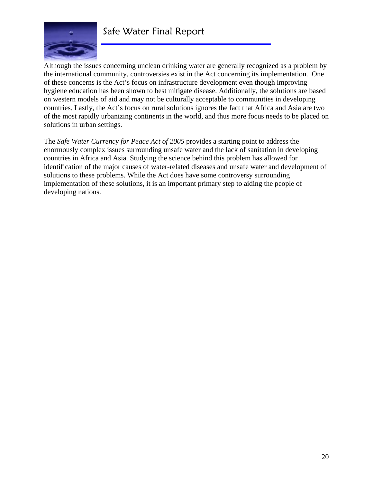

# Safe Water Final Report

Although the issues concerning unclean drinking water are generally recognized as a problem by the international community, controversies exist in the Act concerning its implementation. One of these concerns is the Act's focus on infrastructure development even though improving hygiene education has been shown to best mitigate disease. Additionally, the solutions are based on western models of aid and may not be culturally acceptable to communities in developing countries. Lastly, the Act's focus on rural solutions ignores the fact that Africa and Asia are two of the most rapidly urbanizing continents in the world, and thus more focus needs to be placed on solutions in urban settings.

The *Safe Water Currency for Peace Act of 2005* provides a starting point to address the enormously complex issues surrounding unsafe water and the lack of sanitation in developing countries in Africa and Asia. Studying the science behind this problem has allowed for identification of the major causes of water-related diseases and unsafe water and development of solutions to these problems. While the Act does have some controversy surrounding implementation of these solutions, it is an important primary step to aiding the people of developing nations.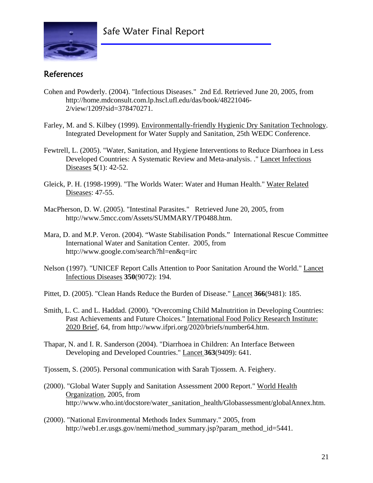# Safe Water Final Report



# References

- Cohen and Powderly. (2004). "Infectious Diseases." 2nd Ed. Retrieved June 20, 2005, from http://home.mdconsult.com.lp.hscl.ufl.edu/das/book/48221046- 2/view/1209?sid=378470271.
- Farley, M. and S. Kilbey (1999). Environmentally-friendly Hygienic Dry Sanitation Technology. Integrated Development for Water Supply and Sanitation, 25th WEDC Conference.
- Fewtrell, L. (2005). "Water, Sanitation, and Hygiene Interventions to Reduce Diarrhoea in Less Developed Countries: A Systematic Review and Meta-analysis. ." Lancet Infectious Diseases **5**(1): 42-52.
- Gleick, P. H. (1998-1999). "The Worlds Water: Water and Human Health." Water Related Diseases: 47-55.
- MacPherson, D. W. (2005). "Intestinal Parasites." Retrieved June 20, 2005, from http://www.5mcc.com/Assets/SUMMARY/TP0488.htm.
- Mara, D. and M.P. Veron. (2004). "Waste Stabilisation Ponds." International Rescue Committee International Water and Sanitation Center. 2005, from http://www.google.com/search?hl=en&q=irc
- Nelson (1997). "UNICEF Report Calls Attention to Poor Sanitation Around the World." Lancet Infectious Diseases **350**(9072): 194.
- Pittet, D. (2005). "Clean Hands Reduce the Burden of Disease." Lancet **366**(9481): 185.
- Smith, L. C. and L. Haddad. (2000). "Overcoming Child Malnutrition in Developing Countries: Past Achievements and Future Choices." International Food Policy Research Institute: 2020 Brief, 64, from http://www.ifpri.org/2020/briefs/number64.htm.
- Thapar, N. and I. R. Sanderson (2004). "Diarrhoea in Children: An Interface Between Developing and Developed Countries." Lancet **363**(9409): 641.
- Tjossem, S. (2005). Personal communication with Sarah Tjossem. A. Feighery.
- (2000). "Global Water Supply and Sanitation Assessment 2000 Report." World Health Organization, 2005, from http://www.who.int/docstore/water\_sanitation\_health/Globassessment/globalAnnex.htm.
- (2000). "National Environmental Methods Index Summary." 2005, from http://web1.er.usgs.gov/nemi/method\_summary.jsp?param\_method\_id=5441.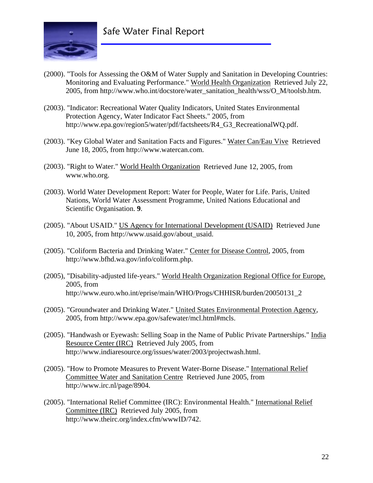

- (2000). "Tools for Assessing the O&M of Water Supply and Sanitation in Developing Countries: Monitoring and Evaluating Performance." World Health Organization Retrieved July 22, 2005, from http://www.who.int/docstore/water\_sanitation\_health/wss/O\_M/toolsb.htm.
- (2003). "Indicator: Recreational Water Quality Indicators, United States Environmental Protection Agency, Water Indicator Fact Sheets." 2005, from http://www.epa.gov/region5/water/pdf/factsheets/R4\_G3\_RecreationalWQ.pdf.
- (2003). "Key Global Water and Sanitation Facts and Figures." Water Can/Eau Vive Retrieved June 18, 2005, from http://www.watercan.com.
- (2003). "Right to Water." World Health Organization Retrieved June 12, 2005, from www.who.org.
- (2003). World Water Development Report: Water for People, Water for Life. Paris, United Nations, World Water Assessment Programme, United Nations Educational and Scientific Organisation. **9**.
- (2005). "About USAID." US Agency for International Development (USAID) Retrieved June 10, 2005, from http://www.usaid.gov/about\_usaid.
- (2005). "Coliform Bacteria and Drinking Water." Center for Disease Control, 2005, from http://www.bfhd.wa.gov/info/coliform.php.
- (2005), "Disability-adjusted life-years." World Health Organization Regional Office for Europe, 2005, from http://www.euro.who.int/eprise/main/WHO/Progs/CHHISR/burden/20050131\_2
- (2005). "Groundwater and Drinking Water." United States Environmental Protection Agency, 2005, from http://www.epa.gov/safewater/mcl.html#mcls.
- (2005). "Handwash or Eyewash: Selling Soap in the Name of Public Private Partnerships." India Resource Center (IRC) Retrieved July 2005, from http://www.indiaresource.org/issues/water/2003/projectwash.html.
- (2005). "How to Promote Measures to Prevent Water-Borne Disease." International Relief Committee Water and Sanitation Centre Retrieved June 2005, from http://www.irc.nl/page/8904.
- (2005). "International Relief Committee (IRC): Environmental Health." International Relief Committee (IRC) Retrieved July 2005, from http://www.theirc.org/index.cfm/wwwID/742.